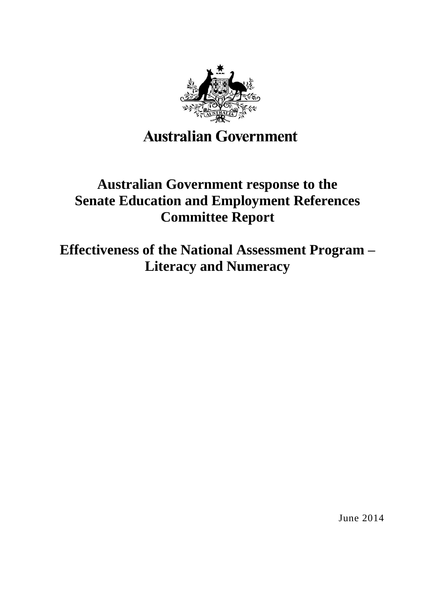

# **Australian Government**

# **Australian Government response to the Senate Education and Employment References Committee Report**

**Effectiveness of the National Assessment Program – Literacy and Numeracy**

June 2014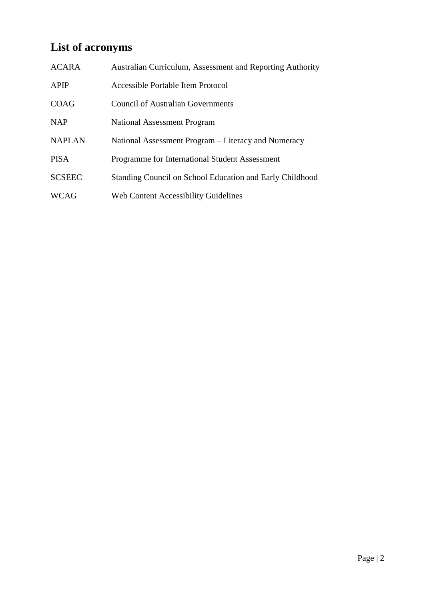# **List of acronyms**

| <b>ACARA</b>  | Australian Curriculum, Assessment and Reporting Authority |
|---------------|-----------------------------------------------------------|
| <b>APIP</b>   | Accessible Portable Item Protocol                         |
| <b>COAG</b>   | <b>Council of Australian Governments</b>                  |
| <b>NAP</b>    | <b>National Assessment Program</b>                        |
| <b>NAPLAN</b> | National Assessment Program – Literacy and Numeracy       |
| <b>PISA</b>   | Programme for International Student Assessment            |
| <b>SCSEEC</b> | Standing Council on School Education and Early Childhood  |
| <b>WCAG</b>   | Web Content Accessibility Guidelines                      |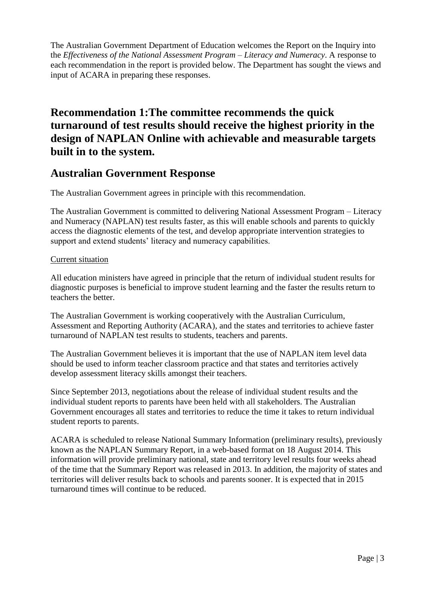The Australian Government Department of Education welcomes the Report on the Inquiry into the *Effectiveness of the National Assessment Program – Literacy and Numeracy*. A response to each recommendation in the report is provided below. The Department has sought the views and input of ACARA in preparing these responses.

# **Recommendation 1:The committee recommends the quick turnaround of test results should receive the highest priority in the design of NAPLAN Online with achievable and measurable targets built in to the system.**

### **Australian Government Response**

The Australian Government agrees in principle with this recommendation.

The Australian Government is committed to delivering National Assessment Program – Literacy and Numeracy (NAPLAN) test results faster, as this will enable schools and parents to quickly access the diagnostic elements of the test, and develop appropriate intervention strategies to support and extend students' literacy and numeracy capabilities.

#### Current situation

All education ministers have agreed in principle that the return of individual student results for diagnostic purposes is beneficial to improve student learning and the faster the results return to teachers the better.

The Australian Government is working cooperatively with the Australian Curriculum, Assessment and Reporting Authority (ACARA), and the states and territories to achieve faster turnaround of NAPLAN test results to students, teachers and parents.

The Australian Government believes it is important that the use of NAPLAN item level data should be used to inform teacher classroom practice and that states and territories actively develop assessment literacy skills amongst their teachers.

Since September 2013, negotiations about the release of individual student results and the individual student reports to parents have been held with all stakeholders. The Australian Government encourages all states and territories to reduce the time it takes to return individual student reports to parents.

ACARA is scheduled to release National Summary Information (preliminary results), previously known as the NAPLAN Summary Report, in a web-based format on 18 August 2014. This information will provide preliminary national, state and territory level results four weeks ahead of the time that the Summary Report was released in 2013. In addition, the majority of states and territories will deliver results back to schools and parents sooner. It is expected that in 2015 turnaround times will continue to be reduced.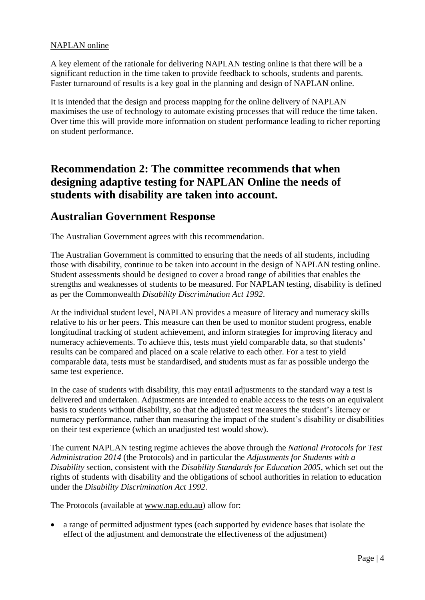#### NAPLAN online

A key element of the rationale for delivering NAPLAN testing online is that there will be a significant reduction in the time taken to provide feedback to schools, students and parents. Faster turnaround of results is a key goal in the planning and design of NAPLAN online.

It is intended that the design and process mapping for the online delivery of NAPLAN maximises the use of technology to automate existing processes that will reduce the time taken. Over time this will provide more information on student performance leading to richer reporting on student performance.

# **Recommendation 2: The committee recommends that when designing adaptive testing for NAPLAN Online the needs of students with disability are taken into account.**

#### **Australian Government Response**

The Australian Government agrees with this recommendation.

The Australian Government is committed to ensuring that the needs of all students, including those with disability, continue to be taken into account in the design of NAPLAN testing online. Student assessments should be designed to cover a broad range of abilities that enables the strengths and weaknesses of students to be measured. For NAPLAN testing, disability is defined as per the Commonwealth *Disability Discrimination Act 1992*.

At the individual student level, NAPLAN provides a measure of literacy and numeracy skills relative to his or her peers. This measure can then be used to monitor student progress, enable longitudinal tracking of student achievement, and inform strategies for improving literacy and numeracy achievements. To achieve this, tests must yield comparable data, so that students' results can be compared and placed on a scale relative to each other. For a test to yield comparable data, tests must be standardised, and students must as far as possible undergo the same test experience.

In the case of students with disability, this may entail adjustments to the standard way a test is delivered and undertaken. Adjustments are intended to enable access to the tests on an equivalent basis to students without disability, so that the adjusted test measures the student's literacy or numeracy performance, rather than measuring the impact of the student's disability or disabilities on their test experience (which an unadjusted test would show).

The current NAPLAN testing regime achieves the above through the *National Protocols for Test Administration 2014* (the Protocols) and in particular the *Adjustments for Students with a Disability* section, consistent with the *Disability Standards for Education 2005*, which set out the rights of students with disability and the obligations of school authorities in relation to education under the *Disability Discrimination Act 1992.*

The Protocols (available at [www.nap.edu.au\)](http://www.nap.edu.au/) allow for:

 a range of permitted adjustment types (each supported by evidence bases that isolate the effect of the adjustment and demonstrate the effectiveness of the adjustment)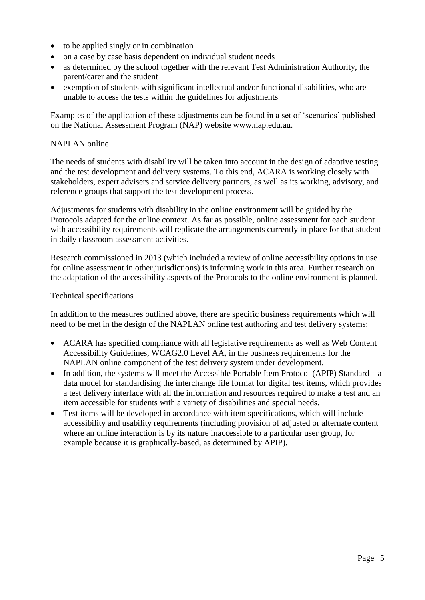- to be applied singly or in combination
- on a case by case basis dependent on individual student needs
- as determined by the school together with the relevant Test Administration Authority, the parent/carer and the student
- exemption of students with significant intellectual and/or functional disabilities, who are unable to access the tests within the guidelines for adjustments

Examples of the application of these adjustments can be found in a set of 'scenarios' published on the National Assessment Program (NAP) website [www.nap.edu.au.](http://www.nap.edu.au/)

#### NAPLAN online

The needs of students with disability will be taken into account in the design of adaptive testing and the test development and delivery systems. To this end, ACARA is working closely with stakeholders, expert advisers and service delivery partners, as well as its working, advisory, and reference groups that support the test development process.

Adjustments for students with disability in the online environment will be guided by the Protocols adapted for the online context. As far as possible, online assessment for each student with accessibility requirements will replicate the arrangements currently in place for that student in daily classroom assessment activities.

Research commissioned in 2013 (which included a review of online accessibility options in use for online assessment in other jurisdictions) is informing work in this area. Further research on the adaptation of the accessibility aspects of the Protocols to the online environment is planned.

#### Technical specifications

In addition to the measures outlined above, there are specific business requirements which will need to be met in the design of the NAPLAN online test authoring and test delivery systems:

- ACARA has specified compliance with all legislative requirements as well as Web Content Accessibility Guidelines, WCAG2.0 Level AA, in the business requirements for the NAPLAN online component of the test delivery system under development.
- In addition, the systems will meet the Accessible Portable Item Protocol (APIP) Standard a data model for standardising the interchange file format for digital test items, which provides a test delivery interface with all the information and resources required to make a test and an item accessible for students with a variety of disabilities and special needs.
- Test items will be developed in accordance with item specifications, which will include accessibility and usability requirements (including provision of adjusted or alternate content where an online interaction is by its nature inaccessible to a particular user group, for example because it is graphically-based, as determined by APIP).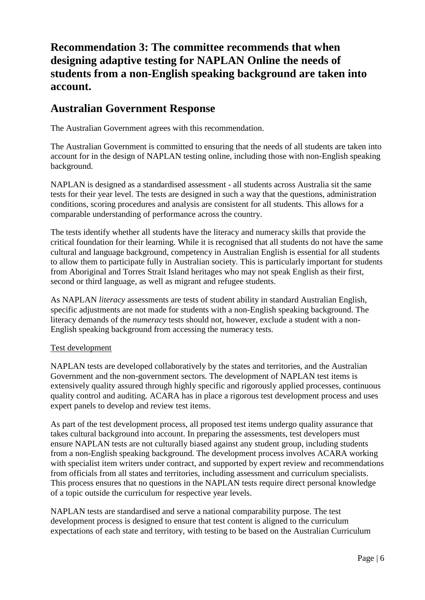# **Recommendation 3: The committee recommends that when designing adaptive testing for NAPLAN Online the needs of students from a non-English speaking background are taken into account.**

## **Australian Government Response**

The Australian Government agrees with this recommendation.

The Australian Government is committed to ensuring that the needs of all students are taken into account for in the design of NAPLAN testing online, including those with non-English speaking background.

NAPLAN is designed as a standardised assessment - all students across Australia sit the same tests for their year level. The tests are designed in such a way that the questions, administration conditions, scoring procedures and analysis are consistent for all students. This allows for a comparable understanding of performance across the country.

The tests identify whether all students have the literacy and numeracy skills that provide the critical foundation for their learning. While it is recognised that all students do not have the same cultural and language background, competency in Australian English is essential for all students to allow them to participate fully in Australian society. This is particularly important for students from Aboriginal and Torres Strait Island heritages who may not speak English as their first, second or third language, as well as migrant and refugee students.

As NAPLAN *literacy* assessments are tests of student ability in standard Australian English, specific adjustments are not made for students with a non-English speaking background. The literacy demands of the *numeracy* tests should not, however, exclude a student with a non-English speaking background from accessing the numeracy tests.

#### Test development

NAPLAN tests are developed collaboratively by the states and territories, and the Australian Government and the non-government sectors. The development of NAPLAN test items is extensively quality assured through highly specific and rigorously applied processes, continuous quality control and auditing. ACARA has in place a rigorous test development process and uses expert panels to develop and review test items.

As part of the test development process, all proposed test items undergo quality assurance that takes cultural background into account. In preparing the assessments, test developers must ensure NAPLAN tests are not culturally biased against any student group, including students from a non-English speaking background. The development process involves ACARA working with specialist item writers under contract, and supported by expert review and recommendations from officials from all states and territories, including assessment and curriculum specialists. This process ensures that no questions in the NAPLAN tests require direct personal knowledge of a topic outside the curriculum for respective year levels.

NAPLAN tests are standardised and serve a national comparability purpose. The test development process is designed to ensure that test content is aligned to the curriculum expectations of each state and territory, with testing to be based on the Australian Curriculum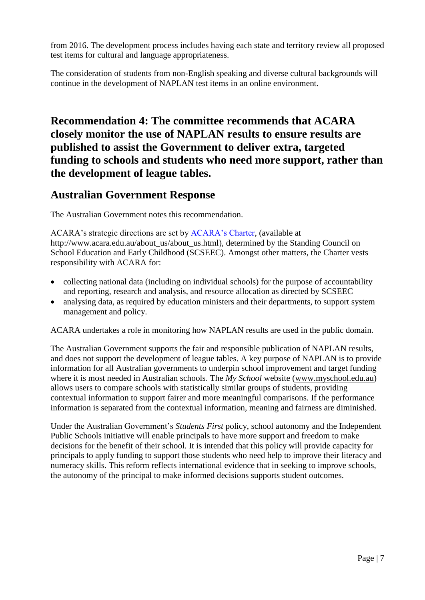from 2016. The development process includes having each state and territory review all proposed test items for cultural and language appropriateness.

The consideration of students from non-English speaking and diverse cultural backgrounds will continue in the development of NAPLAN test items in an online environment.

# **Recommendation 4: The committee recommends that ACARA closely monitor the use of NAPLAN results to ensure results are published to assist the Government to deliver extra, targeted funding to schools and students who need more support, rather than the development of league tables.**

## **Australian Government Response**

The Australian Government notes this recommendation.

ACARA's strategic directions are set by [ACARA's Charter,](http://www.acara.edu.au/about_us/about_us.html) (available at [http://www.acara.edu.au/about\\_us/about\\_us.html\)](http://www.acara.edu.au/about_us/about_us.html), determined by the Standing Council on School Education and Early Childhood (SCSEEC). Amongst other matters, the Charter vests responsibility with ACARA for:

- collecting national data (including on individual schools) for the purpose of accountability and reporting, research and analysis, and resource allocation as directed by SCSEEC
- analysing data, as required by education ministers and their departments, to support system management and policy.

ACARA undertakes a role in monitoring how NAPLAN results are used in the public domain.

The Australian Government supports the fair and responsible publication of NAPLAN results, and does not support the development of league tables. A key purpose of NAPLAN is to provide information for all Australian governments to underpin school improvement and target funding where it is most needed in Australian schools. The *My School* website [\(www.myschool.edu.au\)](http://www.myschool.edu.au/) allows users to compare schools with statistically similar groups of students, providing contextual information to support fairer and more meaningful comparisons. If the performance information is separated from the contextual information, meaning and fairness are diminished.

Under the Australian Government's *Students First* policy, school autonomy and the Independent Public Schools initiative will enable principals to have more support and freedom to make decisions for the benefit of their school. It is intended that this policy will provide capacity for principals to apply funding to support those students who need help to improve their literacy and numeracy skills. This reform reflects international evidence that in seeking to improve schools, the autonomy of the principal to make informed decisions supports student outcomes.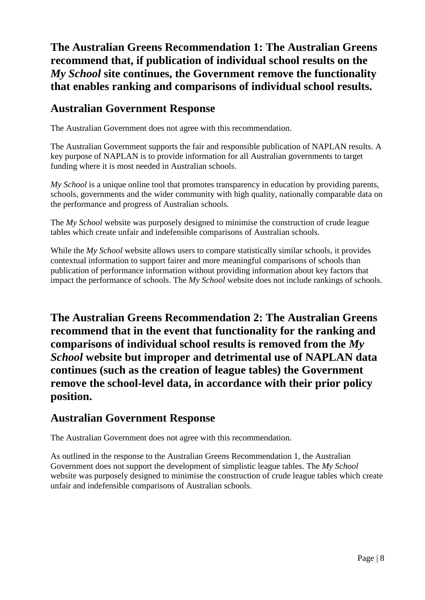# **The Australian Greens Recommendation 1: The Australian Greens recommend that, if publication of individual school results on the**  *My School* **site continues, the Government remove the functionality that enables ranking and comparisons of individual school results.**

## **Australian Government Response**

The Australian Government does not agree with this recommendation.

The Australian Government supports the fair and responsible publication of NAPLAN results. A key purpose of NAPLAN is to provide information for all Australian governments to target funding where it is most needed in Australian schools.

*My School* is a unique online tool that promotes transparency in education by providing parents, schools, governments and the wider community with high quality, nationally comparable data on the performance and progress of Australian schools.

The *My School* website was purposely designed to minimise the construction of crude league tables which create unfair and indefensible comparisons of Australian schools.

While the *My School* website allows users to compare statistically similar schools, it provides contextual information to support fairer and more meaningful comparisons of schools than publication of performance information without providing information about key factors that impact the performance of schools. The *My School* website does not include rankings of schools.

**The Australian Greens Recommendation 2: The Australian Greens recommend that in the event that functionality for the ranking and comparisons of individual school results is removed from the** *My School* **website but improper and detrimental use of NAPLAN data continues (such as the creation of league tables) the Government remove the school-level data, in accordance with their prior policy position.**

## **Australian Government Response**

The Australian Government does not agree with this recommendation.

As outlined in the response to the Australian Greens Recommendation 1, the Australian Government does not support the development of simplistic league tables. The *My School* website was purposely designed to minimise the construction of crude league tables which create unfair and indefensible comparisons of Australian schools.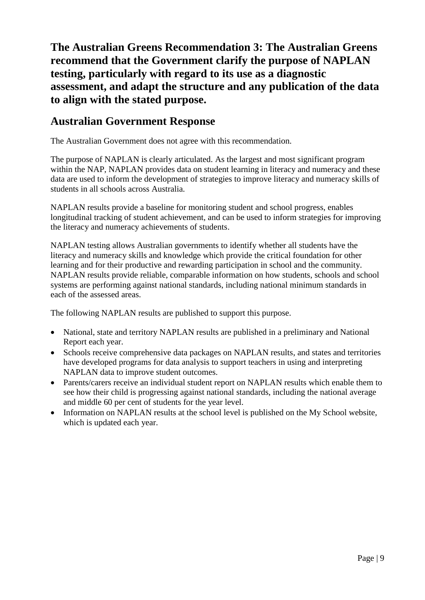**The Australian Greens Recommendation 3: The Australian Greens recommend that the Government clarify the purpose of NAPLAN testing, particularly with regard to its use as a diagnostic assessment, and adapt the structure and any publication of the data to align with the stated purpose.**

## **Australian Government Response**

The Australian Government does not agree with this recommendation.

The purpose of NAPLAN is clearly articulated. As the largest and most significant program within the NAP, NAPLAN provides data on student learning in literacy and numeracy and these data are used to inform the development of strategies to improve literacy and numeracy skills of students in all schools across Australia.

NAPLAN results provide a baseline for monitoring student and school progress, enables longitudinal tracking of student achievement, and can be used to inform strategies for improving the literacy and numeracy achievements of students.

NAPLAN testing allows Australian governments to identify whether all students have the literacy and numeracy skills and knowledge which provide the critical foundation for other learning and for their productive and rewarding participation in school and the community. NAPLAN results provide reliable, comparable information on how students, schools and school systems are performing against national standards, including national minimum standards in each of the assessed areas.

The following NAPLAN results are published to support this purpose.

- National, state and territory NAPLAN results are published in a preliminary and National Report each year.
- Schools receive comprehensive data packages on NAPLAN results, and states and territories have developed programs for data analysis to support teachers in using and interpreting NAPLAN data to improve student outcomes.
- Parents/carers receive an individual student report on NAPLAN results which enable them to see how their child is progressing against national standards, including the national average and middle 60 per cent of students for the year level.
- Information on NAPLAN results at the school level is published on the My School website, which is updated each year.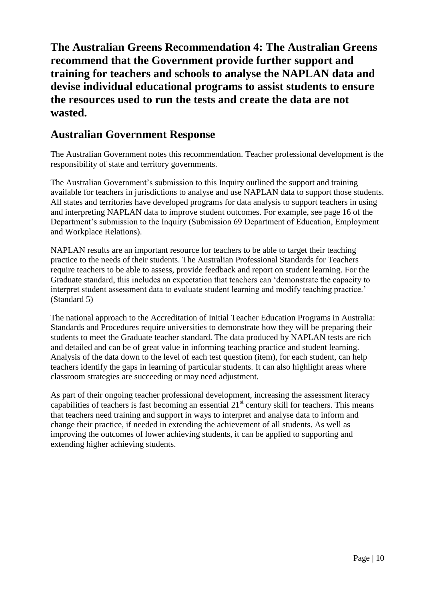**The Australian Greens Recommendation 4: The Australian Greens recommend that the Government provide further support and training for teachers and schools to analyse the NAPLAN data and devise individual educational programs to assist students to ensure the resources used to run the tests and create the data are not wasted.**

### **Australian Government Response**

The Australian Government notes this recommendation. Teacher professional development is the responsibility of state and territory governments.

The Australian Government's submission to this Inquiry outlined the support and training available for teachers in jurisdictions to analyse and use NAPLAN data to support those students. All states and territories have developed programs for data analysis to support teachers in using and interpreting NAPLAN data to improve student outcomes. For example, see page 16 of the Department's submission to the Inquiry (Submission 69 Department of Education, Employment and Workplace Relations).

NAPLAN results are an important resource for teachers to be able to target their teaching practice to the needs of their students. The Australian Professional Standards for Teachers require teachers to be able to assess, provide feedback and report on student learning. For the Graduate standard, this includes an expectation that teachers can 'demonstrate the capacity to interpret student assessment data to evaluate student learning and modify teaching practice.' (Standard 5)

The national approach to the Accreditation of Initial Teacher Education Programs in Australia: Standards and Procedures require universities to demonstrate how they will be preparing their students to meet the Graduate teacher standard. The data produced by NAPLAN tests are rich and detailed and can be of great value in informing teaching practice and student learning. Analysis of the data down to the level of each test question (item), for each student, can help teachers identify the gaps in learning of particular students. It can also highlight areas where classroom strategies are succeeding or may need adjustment.

As part of their ongoing teacher professional development, increasing the assessment literacy capabilities of teachers is fast becoming an essential  $21<sup>st</sup>$  century skill for teachers. This means that teachers need training and support in ways to interpret and analyse data to inform and change their practice, if needed in extending the achievement of all students. As well as improving the outcomes of lower achieving students, it can be applied to supporting and extending higher achieving students.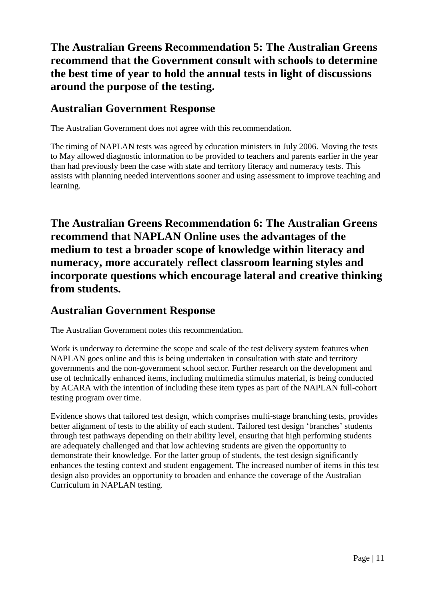# **The Australian Greens Recommendation 5: The Australian Greens recommend that the Government consult with schools to determine the best time of year to hold the annual tests in light of discussions around the purpose of the testing.**

## **Australian Government Response**

The Australian Government does not agree with this recommendation.

The timing of NAPLAN tests was agreed by education ministers in July 2006. Moving the tests to May allowed diagnostic information to be provided to teachers and parents earlier in the year than had previously been the case with state and territory literacy and numeracy tests. This assists with planning needed interventions sooner and using assessment to improve teaching and learning.

**The Australian Greens Recommendation 6: The Australian Greens recommend that NAPLAN Online uses the advantages of the medium to test a broader scope of knowledge within literacy and numeracy, more accurately reflect classroom learning styles and incorporate questions which encourage lateral and creative thinking from students.**

## **Australian Government Response**

The Australian Government notes this recommendation.

Work is underway to determine the scope and scale of the test delivery system features when NAPLAN goes online and this is being undertaken in consultation with state and territory governments and the non-government school sector. Further research on the development and use of technically enhanced items, including multimedia stimulus material, is being conducted by ACARA with the intention of including these item types as part of the NAPLAN full-cohort testing program over time.

Evidence shows that tailored test design, which comprises multi-stage branching tests, provides better alignment of tests to the ability of each student. Tailored test design 'branches' students through test pathways depending on their ability level, ensuring that high performing students are adequately challenged and that low achieving students are given the opportunity to demonstrate their knowledge. For the latter group of students, the test design significantly enhances the testing context and student engagement. The increased number of items in this test design also provides an opportunity to broaden and enhance the coverage of the Australian Curriculum in NAPLAN testing.